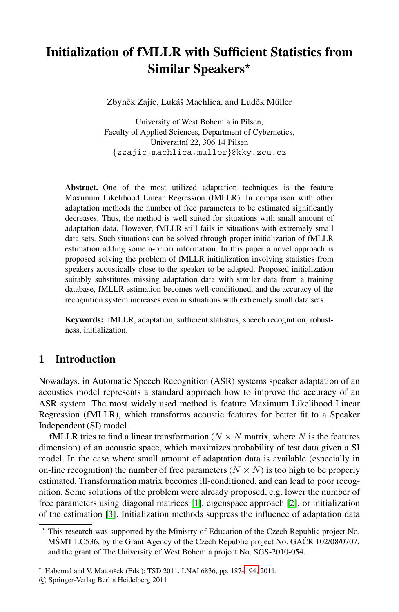# **Initialization of fMLLR with Sufficient Statistics from Similar Speakers***-*

Zbyněk Zajíc, Lukáš Machlica, and Luděk Müller

University of West Bohemia in Pilsen, Faculty of Applied Sciences, Department of Cybernetics, Univerzitní 22, 306 14 Pilsen *{*zzajic,machlica,muller*}*@kky.zcu.cz

**Abstract.** One of the most utilized adaptation techniques is the feature Maximum Likelihood Linear Regression (fMLLR). In comparison with other adaptation methods the number of free parameters to be estimated significantly decreases. Thus, the method is well suited for situations with small amount of adaptation data. However, fMLLR still fails in situations with extremely small data sets. Such situations can be solved through proper initialization of fMLLR estimation adding some a-priori information. In this paper a novel approach is proposed solving the problem of fMLLR initialization involving statistics from speakers acoustically close to the speaker to be adapted. Proposed initialization suitably substitutes missing adaptation data with similar data from a training database, fMLLR estimation becomes well-conditioned, and the accuracy of the recognition system increases even in situations with extremely small data sets.

**Keywords:** fMLLR, adaptation, sufficient statistics, speech recognition, robustness, initialization.

# **1 Introduction**

Nowadays, in Automatic Speech Recognition (ASR) systems speaker adaptation of an acoustics model represents a standard approach how to improve the accuracy of an ASR system. The most widely used method is feature Maximum Likelihood Linear Regression (fMLLR), which transforms acoustic features for better fit to a Speaker Independent (SI) model.

fMLLR tries to find a linear transformation ( $N \times N$  matrix, where N is the features dimension) of an acoustic space, which maximizes probability of test data given a SI model. In the case where small amount of adaptation data is available (especially in on-line recognition) the number of free parameters ( $N \times N$ ) is too high to be properly estimated. Transformation matrix becomes ill-conditioned, and can lead to poor recognition. Some solutions of the problem were already proposed, e.g. lower the number of free parameters using diagonal matrices [\[1\]](#page-7-0), eigenspace approach [\[2\]](#page-7-1), or initialization of the estimation [\[3\]](#page-7-2). Initialization methods suppress the influence of adaptation data

<sup>-</sup> This research was supported by the Ministry of Education of the Czech Republic project No. MSMT LC536, by the Grant Agency of the Czech Republic project No. GACR 102/08/0707, and the grant of The University of West Bohemia project No. SGS-2010-054.

I. Habernal and V. Matou˘sek (Eds.): TSD 2011, LNAI 6836, pp. 187[–194,](#page-7-3) 2011.

<sup>-</sup>c Springer-Verlag Berlin Heidelberg 2011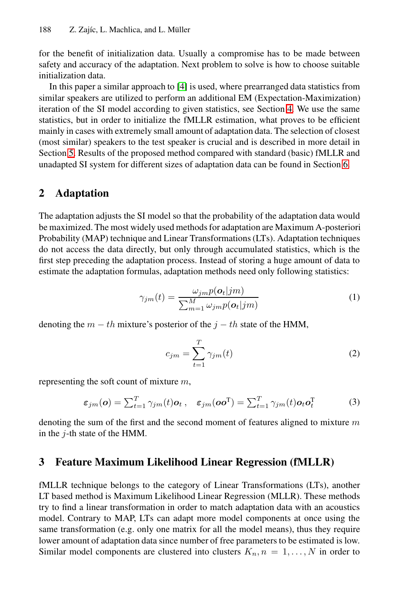for the benefit of initialization data. Usually a compromise has to be made between safety and accuracy of the adaptation. Next problem to solve is how to choose suitable initialization data.

In this paper a similar approach to [\[4\]](#page-7-4) is used, where prearranged data statistics from similar speakers are utilized to perform an additional EM (Expectation-Maximization) iteration of the SI model according to given statistics, see Section [4.](#page-2-0) We use the same statistics, but in order to initialize the fMLLR estimation, what proves to be efficient mainly in cases with extremely small amount of adaptation data. The selection of closest (most similar) speakers to the test speaker is crucial and is described in more detail in Section [5.](#page-3-0) Results of the proposed method compared with standard (basic) fMLLR and unadapted SI system for different sizes of adaptation data can be found in Section [6.](#page-4-0)

## **2 Adaptation**

The adaptation adjusts the SI model so that the probability of the adaptation data would be maximized. The most widely used methods for adaptation are Maximum A-posteriori Probability (MAP) technique and Linear Transformations (LTs). Adaptation techniques do not access the data directly, but only through accumulated statistics, which is the first step preceding the adaptation process. Instead of storing a huge amount of data to estimate the adaptation formulas, adaptation methods need only following statistics:

$$
\gamma_{jm}(t) = \frac{\omega_{jm} p(o_t | jm)}{\sum_{m=1}^{M} \omega_{jm} p(o_t | jm)}
$$
(1)

denoting the  $m - th$  mixture's posterior of the  $j - th$  state of the HMM,

<span id="page-1-1"></span><span id="page-1-0"></span>
$$
c_{jm} = \sum_{t=1}^{T} \gamma_{jm}(t) \tag{2}
$$

representing the soft count of mixture m,

$$
\varepsilon_{jm}(\boldsymbol{o}) = \sum_{t=1}^{T} \gamma_{jm}(t) \boldsymbol{o}_t, \quad \varepsilon_{jm}(\boldsymbol{o}\boldsymbol{o}^{\mathrm{T}}) = \sum_{t=1}^{T} \gamma_{jm}(t) \boldsymbol{o}_t \boldsymbol{o}_t^{\mathrm{T}}
$$
(3)

denoting the sum of the first and the second moment of features aligned to mixture  $m$ in the  $j$ -th state of the HMM.

### <span id="page-1-2"></span>**3 Feature Maximum Likelihood Linear Regression (fMLLR)**

fMLLR technique belongs to the category of Linear Transformations (LTs), another LT based method is Maximum Likelihood Linear Regression (MLLR). These methods try to find a linear transformation in order to match adaptation data with an acoustics model. Contrary to MAP, LTs can adapt more model components at once using the same transformation (e.g. only one matrix for all the model means), thus they require lower amount of adaptation data since number of free parameters to be estimated is low. Similar model components are clustered into clusters  $K_n$ ,  $n = 1, \ldots, N$  in order to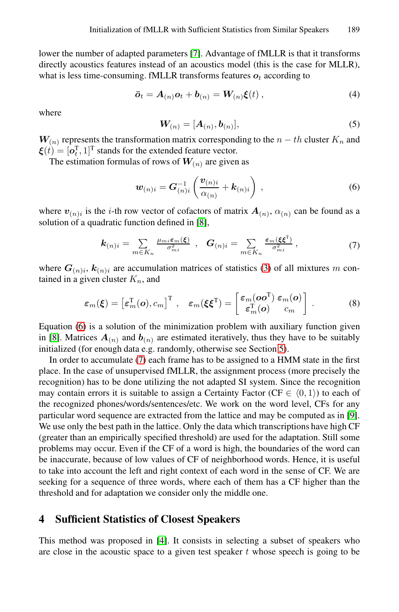lower the number of adapted parameters [\[7\]](#page-7-5). Advantage of fMLLR is that it transforms directly acoustics features instead of an acoustics model (this is the case for MLLR), what is less time-consuming. fMLLR transforms features  $o_t$  according to

$$
\bar{\boldsymbol{o}}_t = \boldsymbol{A}_{(n)} \boldsymbol{o}_t + \boldsymbol{b}_{(n)} = \boldsymbol{W}_{(n)} \boldsymbol{\xi}(t) , \qquad (4)
$$

<span id="page-2-3"></span>where

<span id="page-2-1"></span>
$$
\mathbf{W}_{(n)} = [\mathbf{A}_{(n)}, \mathbf{b}_{(n)}],\tag{5}
$$

 $W_{(n)}$  represents the transformation matrix corresponding to the  $n - th$  cluster  $K_n$  and  $\boldsymbol{\xi}(t) = [\boldsymbol{o}_t^{\mathrm{T}}, 1]^{\mathrm{T}}$  stands for the extended feature vector.

The estimation formulas of rows of  $W_{(n)}$  are given as

<span id="page-2-2"></span>
$$
\boldsymbol{w}_{(n)i} = \boldsymbol{G}_{(n)i}^{-1} \left( \frac{\boldsymbol{v}_{(n)i}}{\alpha_{(n)}} + \boldsymbol{k}_{(n)i} \right) , \qquad (6)
$$

where  $v_{(n)i}$  is the *i*-th row vector of cofactors of matrix  $A_{(n)}$ ,  $\alpha_{(n)}$  can be found as a solution of a quadratic function defined in [\[8\]](#page-7-6),

$$
\boldsymbol{k}_{(n)i} = \sum_{m \in K_n} \frac{\mu_{mi} \boldsymbol{\varepsilon}_m(\boldsymbol{\xi})}{\sigma_{mi}^2} \ , \quad \boldsymbol{G}_{(n)i} = \sum_{m \in K_n} \frac{\boldsymbol{\varepsilon}_m(\boldsymbol{\xi}\boldsymbol{\xi}^T)}{\sigma_{mi}^2} \ , \tag{7}
$$

where  $G_{(n)i}$ ,  $k_{(n)i}$  are accumulation matrices of statistics [\(3\)](#page-1-0) of all mixtures m contained in a given cluster  $K_n$ , and

$$
\varepsilon_m(\boldsymbol{\xi}) = \left[\varepsilon_m^{\mathrm{T}}(\boldsymbol{o}), c_m\right]^{\mathrm{T}}, \quad \varepsilon_m(\boldsymbol{\xi}\boldsymbol{\xi}^{\mathrm{T}}) = \begin{bmatrix} \varepsilon_m(\boldsymbol{o}\boldsymbol{o}^{\mathrm{T}}) \ \varepsilon_m(\boldsymbol{o}) \\ \varepsilon_m^{\mathrm{T}}(\boldsymbol{o}) \end{bmatrix} . \tag{8}
$$

Equation [\(6\)](#page-2-1) is a solution of the minimization problem with auxiliary function given in [\[8\]](#page-7-6). Matrices  $A_{(n)}$  and  $b_{(n)}$  are estimated iteratively, thus they have to be suitably initialized (for enough data e.g. randomly, otherwise see Section [5\)](#page-3-0).

In order to accumulate [\(7\)](#page-2-2) each frame has to be assigned to a HMM state in the first place. In the case of unsupervised fMLLR, the assignment process (more precisely the recognition) has to be done utilizing the not adapted SI system. Since the recognition may contain errors it is suitable to assign a Certainty Factor (CF  $\in \langle 0, 1 \rangle$ ) to each of the recognized phones/words/sentences/etc. We work on the word level, CFs for any particular word sequence are extracted from the lattice and may be computed as in [\[9\]](#page-7-7). We use only the best path in the lattice. Only the data which transcriptions have high CF (greater than an empirically specified threshold) are used for the adaptation. Still some problems may occur. Even if the CF of a word is high, the boundaries of the word can be inaccurate, because of low values of CF of neighborhood words. Hence, it is useful to take into account the left and right context of each word in the sense of CF. We are seeking for a sequence of three words, where each of them has a CF higher than the threshold and for adaptation we consider only the middle one.

## <span id="page-2-0"></span>**4 Sufficient Statistics of Closest Speakers**

This method was proposed in [\[4\]](#page-7-4). It consists in selecting a subset of speakers who are close in the acoustic space to a given test speaker  $t$  whose speech is going to be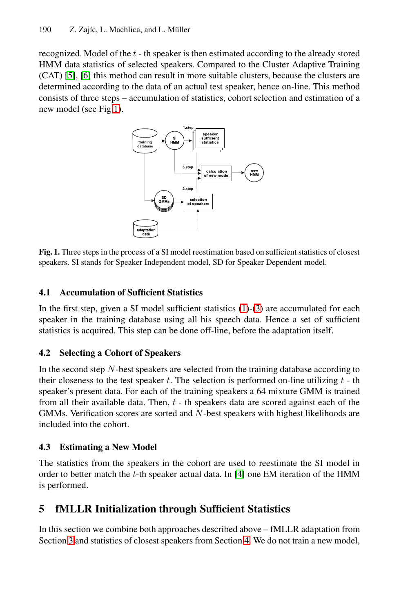recognized. Model of the  $t - th$  speaker is then estimated according to the already stored HMM data statistics of selected speakers. Compared to the Cluster Adaptive Training (CAT) [\[5\]](#page-7-8), [\[6\]](#page-7-9) this method can result in more suitable clusters, because the clusters are determined according to the data of an actual test speaker, hence on-line. This method consists of three steps – accumulation of statistics, cohort selection and estimation of a new model (see Fig[.1\)](#page-3-1).



<span id="page-3-1"></span>**Fig. 1.** Three steps in the process of a SI model reestimation based on sufficient statistics of closest speakers. SI stands for Speaker Independent model, SD for Speaker Dependent model.

# **4.1 Accumulation of Sufficient Statistics**

In the first step, given a SI model sufficient statistics  $(1)-(3)$  $(1)-(3)$  $(1)-(3)$  are accumulated for each speaker in the training database using all his speech data. Hence a set of sufficient statistics is acquired. This step can be done off-line, before the adaptation itself.

# **4.2 Selecting a Cohort of Speakers**

In the second step N-best speakers are selected from the training database according to their closeness to the test speaker t. The selection is performed on-line utilizing  $t$  - th speaker's present data. For each of the training speakers a 64 mixture GMM is trained from all their available data. Then,  $t$  - th speakers data are scored against each of the GMMs. Verification scores are sorted and N-best speakers with highest likelihoods are included into the cohort.

# **4.3 Estimating a New Model**

The statistics from the speakers in the cohort are used to reestimate the SI model in order to better match the  $t$ -th speaker actual data. In [\[4\]](#page-7-4) one EM iteration of the HMM is performed.

# <span id="page-3-0"></span>**5 fMLLR Initialization through Sufficient Statistics**

In this section we combine both approaches described above – fMLLR adaptation from Section [3](#page-1-2) and statistics of closest speakers from Section [4.](#page-2-0) We do not train a new model,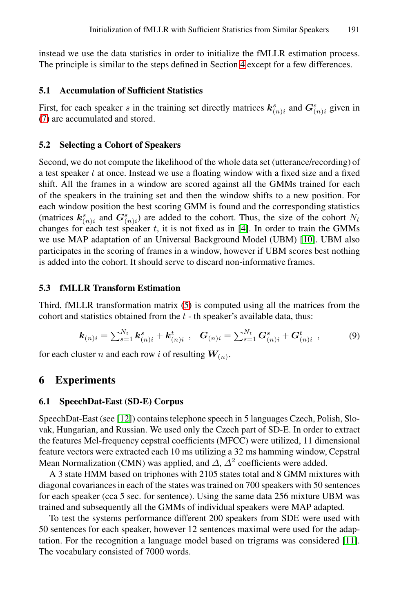instead we use the data statistics in order to initialize the fMLLR estimation process. The principle is similar to the steps defined in Section [4](#page-2-0) except for a few differences.

#### **5.1 Accumulation of Sufficient Statistics**

First, for each speaker s in the training set directly matrices  $k_{(n)i}^s$  and  $G_{(n)i}^s$  given in [\(7\)](#page-2-2) are accumulated and stored.

#### **5.2 Selecting a Cohort of Speakers**

Second, we do not compute the likelihood of the whole data set (utterance/recording) of a test speaker  $t$  at once. Instead we use a floating window with a fixed size and a fixed shift. All the frames in a window are scored against all the GMMs trained for each of the speakers in the training set and then the window shifts to a new position. For each window position the best scoring GMM is found and the corresponding statistics (matrices  $k_{(n)i}^s$  and  $G_{(n)i}^s$ ) are added to the cohort. Thus, the size of the cohort  $N_t$ changes for each test speaker  $t$ , it is not fixed as in [\[4\]](#page-7-4). In order to train the GMMs we use MAP adaptation of an Universal Background Model (UBM) [\[10\]](#page-7-10). UBM also participates in the scoring of frames in a window, however if UBM scores best nothing is added into the cohort. It should serve to discard non-informative frames.

#### **5.3 fMLLR Transform Estimation**

Third, fMLLR transformation matrix [\(5\)](#page-2-3) is computed using all the matrices from the cohort and statistics obtained from the  $t$  - th speaker's available data, thus:

$$
\boldsymbol{k}_{(n)i} = \sum_{s=1}^{N_t} \boldsymbol{k}_{(n)i}^s + \boldsymbol{k}_{(n)i}^t , \quad \boldsymbol{G}_{(n)i} = \sum_{s=1}^{N_t} \boldsymbol{G}_{(n)i}^s + \boldsymbol{G}_{(n)i}^t , \qquad (9)
$$

for each cluster *n* and each row *i* of resulting  $W_{(n)}$ .

### <span id="page-4-0"></span>**6 Experiments**

#### **6.1 SpeechDat-East (SD-E) Corpus**

SpeechDat-East (see [\[12\]](#page-7-11)) contains telephone speech in 5 languages Czech, Polish, Slovak, Hungarian, and Russian. We used only the Czech part of SD-E. In order to extract the features Mel-frequency cepstral coefficients (MFCC) were utilized, 11 dimensional feature vectors were extracted each 10 ms utilizing a 32 ms hamming window, Cepstral Mean Normalization (CMN) was applied, and  $\Delta$ ,  $\Delta^2$  coefficients were added.

A 3 state HMM based on triphones with 2105 states total and 8 GMM mixtures with diagonal covariances in each of the states was trained on 700 speakers with 50 sentences for each speaker (cca 5 sec. for sentence). Using the same data 256 mixture UBM was trained and subsequently all the GMMs of individual speakers were MAP adapted.

To test the systems performance different 200 speakers from SDE were used with 50 sentences for each speaker, however 12 sentences maximal were used for the adaptation. For the recognition a language model based on trigrams was considered [\[11\]](#page-7-12). The vocabulary consisted of 7000 words.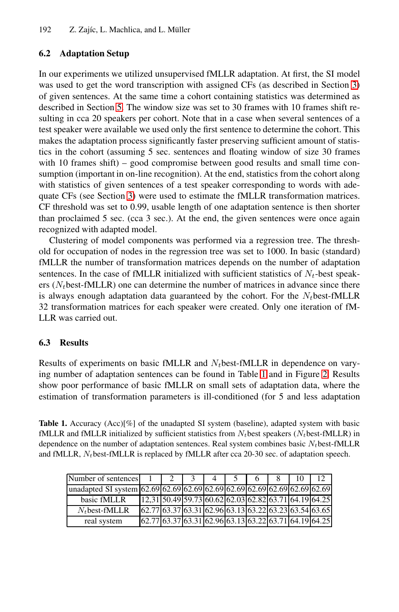### **6.2 Adaptation Setup**

In our experiments we utilized unsupervised fMLLR adaptation. At first, the SI model was used to get the word transcription with assigned CFs (as described in Section [3\)](#page-1-2) of given sentences. At the same time a cohort containing statistics was determined as described in Section [5.](#page-3-0) The window size was set to 30 frames with 10 frames shift resulting in cca 20 speakers per cohort. Note that in a case when several sentences of a test speaker were available we used only the first sentence to determine the cohort. This makes the adaptation process significantly faster preserving sufficient amount of statistics in the cohort (assuming 5 sec. sentences and floating window of size 30 frames with 10 frames shift) – good compromise between good results and small time consumption (important in on-line recognition). At the end, statistics from the cohort along with statistics of given sentences of a test speaker corresponding to words with adequate CFs (see Section [3\)](#page-1-2) were used to estimate the fMLLR transformation matrices. CF threshold was set to 0.99, usable length of one adaptation sentence is then shorter than proclaimed 5 sec. (cca 3 sec.). At the end, the given sentences were once again recognized with adapted model.

Clustering of model components was performed via a regression tree. The threshold for occupation of nodes in the regression tree was set to 1000. In basic (standard) fMLLR the number of transformation matrices depends on the number of adaptation sentences. In the case of fMLLR initialized with sufficient statistics of  $N_t$ -best speakers  $(N_t)$  best-fMLLR) one can determine the number of matrices in advance since there is always enough adaptation data guaranteed by the cohort. For the  $N_t$  best-fMLLR 32 transformation matrices for each speaker were created. Only one iteration of fM-LLR was carried out.

### **6.3 Results**

Results of experiments on basic fMLLR and  $N_t$  best-fMLLR in dependence on varying number of adaptation sentences can be found in Table [1](#page-5-0) and in Figure [2.](#page-6-0) Results show poor performance of basic fMLLR on small sets of adaptation data, where the estimation of transformation parameters is ill-conditioned (for 5 and less adaptation

<span id="page-5-0"></span>**Table 1.** Accuracy (Acc)[%] of the unadapted SI system (baseline), adapted system with basic fMLLR and fMLLR initialized by sufficient statistics from  $N_t$  best speakers ( $N_t$  best-fMLLR) in dependence on the number of adaptation sentences. Real system combines basic  $N_t$  best-fMLLR and fMLLR,  $N_t$  best-fMLLR is replaced by fMLLR after cca 20-30 sec. of adaptation speech.

| Number of sentences 1                                                     | $\mathcal{D}$ |                                                           |  | 8 | 10 | 12. |
|---------------------------------------------------------------------------|---------------|-----------------------------------------------------------|--|---|----|-----|
| unadapted SI system 62.69 62.69 62.69 62.69 62.69 62.69 62.69 62.69 62.69 |               |                                                           |  |   |    |     |
| basic fMLLR                                                               |               | $[12,31]$ 50.49 59.73 60.62 62.03 62.82 63.71 64.19 64.25 |  |   |    |     |
| $N_t$ best-fMLLR                                                          |               | $(62.77)$ 63.37 63.31 62.96 63.13 63.22 63.23 63.54 63.65 |  |   |    |     |
| real system                                                               |               | 62.77 63.37 63.31 62.96 63.13 63.22 63.71 64.19 64.25     |  |   |    |     |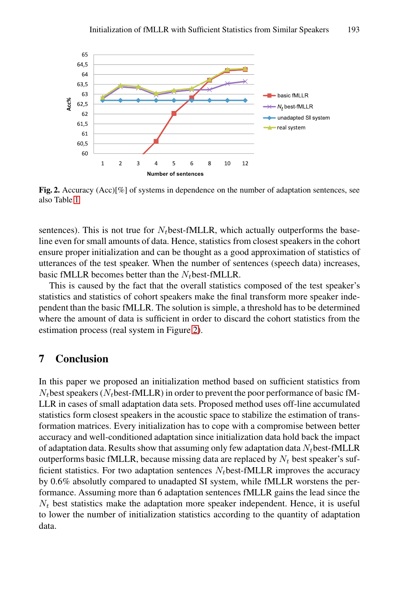

<span id="page-6-0"></span>**Fig. 2.** Accuracy (Acc)[%] of systems in dependence on the number of adaptation sentences, see also Table [1](#page-5-0)

sentences). This is not true for  $N_t$  best-fMLLR, which actually outperforms the baseline even for small amounts of data. Hence, statistics from closest speakers in the cohort ensure proper initialization and can be thought as a good approximation of statistics of utterances of the test speaker. When the number of sentences (speech data) increases, basic fMLLR becomes better than the  $N_t$ best-fMLLR.

This is caused by the fact that the overall statistics composed of the test speaker's statistics and statistics of cohort speakers make the final transform more speaker independent than the basic fMLLR. The solution is simple, a threshold has to be determined where the amount of data is sufficient in order to discard the cohort statistics from the estimation process (real system in Figure [2\)](#page-6-0).

# **7 Conclusion**

In this paper we proposed an initialization method based on sufficient statistics from  $N_t$ best speakers ( $N_t$ best-fMLLR) in order to prevent the poor performance of basic fM-LLR in cases of small adaptation data sets. Proposed method uses off-line accumulated statistics form closest speakers in the acoustic space to stabilize the estimation of transformation matrices. Every initialization has to cope with a compromise between better accuracy and well-conditioned adaptation since initialization data hold back the impact of adaptation data. Results show that assuming only few adaptation data  $N_t$  best-fMLLR outperforms basic fMLLR, because missing data are replaced by  $N_t$  best speaker's sufficient statistics. For two adaptation sentences  $N_t$ best-fMLLR improves the accuracy by 0.6% absolutly compared to unadapted SI system, while fMLLR worstens the performance. Assuming more than 6 adaptation sentences fMLLR gains the lead since the  $N_t$  best statistics make the adaptation more speaker independent. Hence, it is useful to lower the number of initialization statistics according to the quantity of adaptation data.